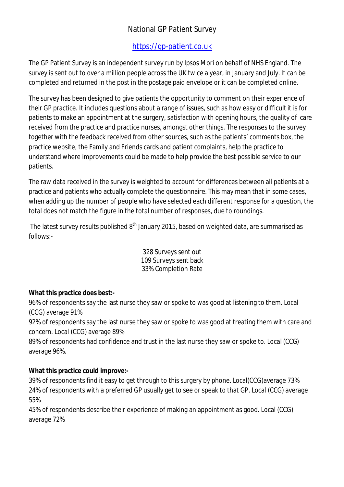# National GP Patient Survey

# <https://gp-patient.co.uk>

The GP Patient Survey is an independent survey run by Ipsos Mori on behalf of NHS England. The survey is sent out to over a million people across the UK twice a year, in January and July. It can be completed and returned in the post in the postage paid envelope or it can be completed online.

The survey has been designed to give patients the opportunity to comment on their experience of their GP practice. It includes questions about a range of issues, such as how easy or difficult it is for patients to make an appointment at the surgery, satisfaction with opening hours, the quality of care received from the practice and practice nurses, amongst other things. The responses to the survey together with the feedback received from other sources, such as the patients' comments box, the practice website, the Family and Friends cards and patient complaints, help the practice to understand where improvements could be made to help provide the best possible service to our patients.

The raw data received in the survey is weighted to account for differences between all patients at a practice and patients who actually complete the questionnaire. This may mean that in some cases, when adding up the number of people who have selected each different response for a question, the total does not match the figure in the total number of responses, due to roundings.

The latest survey results published 8<sup>th</sup> January 2015, based on weighted data, are summarised as follows:-

> 328 Surveys sent out 109 Surveys sent back 33% Completion Rate

## **What this practice does best:-**

96% of respondents say the last nurse they saw or spoke to was good at listening to them. Local (CCG) average 91%

92% of respondents say the last nurse they saw or spoke to was good at treating them with care and concern. Local (CCG) average 89%

89% of respondents had confidence and trust in the last nurse they saw or spoke to. Local (CCG) average 96%.

## **What this practice could improve:-**

39% of respondents find it easy to get through to this surgery by phone. Local(CCG)average 73% 24% of respondents with a preferred GP usually get to see or speak to that GP. Local (CCG) average 55%

45% of respondents describe their experience of making an appointment as good. Local (CCG) average 72%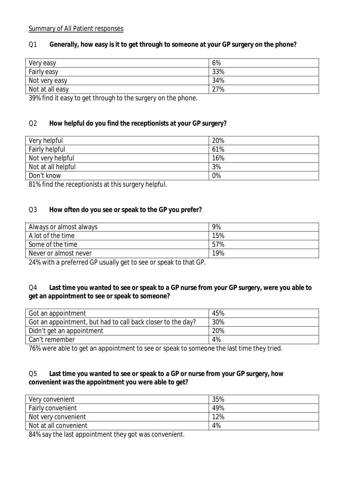#### Summary of All Patient responses

## Q1 **Generally, how easy is it to get through to someone at your GP surgery on the phone?**

| Very easy       | 6%  |
|-----------------|-----|
| Fairly easy     | 33% |
| Not very easy   | 34% |
| Not at all easy | 27% |

39% find it easy to get through to the surgery on the phone.

## Q2 **How helpful do you find the receptionists at your GP surgery?**

| Very helpful       | 20% |
|--------------------|-----|
| Fairly helpful     | 61% |
| Not very helpful   | 16% |
| Not at all helpful | 3%  |
| Don't know         | 0%  |

81% find the receptionists at this surgery helpful.

#### Q3 **How often do you see or speak to the GP you prefer?**

| Always or almost always | 9%  |
|-------------------------|-----|
| A lot of the time       | 15% |
| Some of the time        | 57% |
| Never or almost never   | 19% |

24% with a preferred GP usually get to see or speak to that GP.

#### Q4 **Last time you wanted to see or speak to a GP nurse from your GP surgery, were you able to get an appointment to see or speak to someone?**

| Got an appointment                                          | 45% |
|-------------------------------------------------------------|-----|
| Got an appointment, but had to call back closer to the day? | 30% |
| Didn't get an appointment                                   | 20% |
| Can't remember                                              | 4%  |

76% were able to get an appointment to see or speak to someone the last time they tried.

## Q5 **Last time you wanted to see or speak to a GP or nurse from your GP surgery, how convenient was the appointment you were able to get?**

| Very convenient          | 35% |
|--------------------------|-----|
| <b>Fairly convenient</b> | 49% |
| Not very convenient      | 12% |
| Not at all convenient    | 4%  |

84% say the last appointment they got was convenient.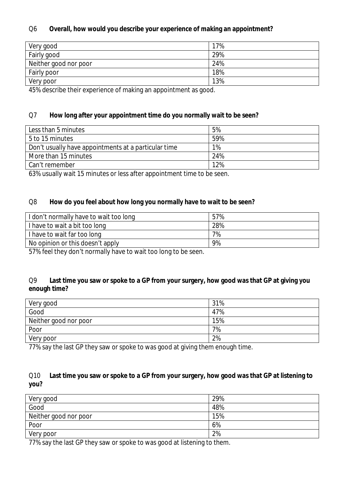## Q6 **Overall, how would you describe your experience of making an appointment?**

| 17% |
|-----|
| 29% |
| 24% |
| 18% |
| 13% |
|     |

45% describe their experience of making an appointment as good.

#### Q7 **How long after your appointment time do you normally wait to be seen?**

| Less than 5 minutes                                  | 5%  |
|------------------------------------------------------|-----|
| 5 to 15 minutes                                      | 59% |
| Don't usually have appointments at a particular time | 1%  |
| More than 15 minutes                                 | 24% |
| Can't remember                                       | 12% |

63% usually wait 15 minutes or less after appointment time to be seen.

#### Q8 **How do you feel about how long you normally have to wait to be seen?**

| I don't normally have to wait too long | 57% |
|----------------------------------------|-----|
| I have to wait a bit too long          | 28% |
| I have to wait far too long            | 7%  |
| No opinion or this doesn't apply       | 9%  |

57% feel they don't normally have to wait too long to be seen.

## Q9 **Last time you saw or spoke to a GP from your surgery, how good was that GP at giving you enough time?**

| Very good             | 31% |
|-----------------------|-----|
| Good                  | 47% |
| Neither good nor poor | 15% |
| Poor                  | 7%  |
| Very poor             | 2%  |

77% say the last GP they saw or spoke to was good at giving them enough time.

## Q10 **Last time you saw or spoke to a GP from your surgery, how good was that GP at listening to you?**

| Very good             | 29% |
|-----------------------|-----|
| Good                  | 48% |
| Neither good nor poor | 15% |
| Poor                  | 6%  |
| Very poor             | 2%  |

77% say the last GP they saw or spoke to was good at listening to them.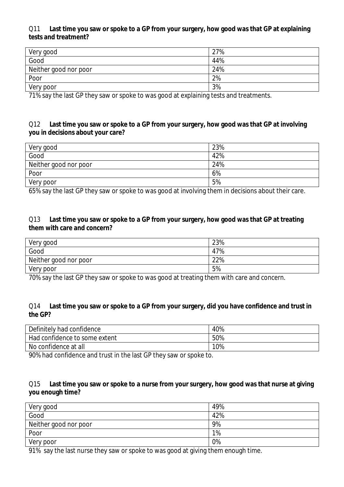#### Q11 **Last time you saw or spoke to a GP from your surgery, how good was that GP at explaining tests and treatment?**

| Very good             | 27% |
|-----------------------|-----|
| Good                  | 44% |
| Neither good nor poor | 24% |
| Poor                  | 2%  |
| Very poor             | 3%  |

71% say the last GP they saw or spoke to was good at explaining tests and treatments.

## Q12 **Last time you saw or spoke to a GP from your surgery, how good was that GP at involving you in decisions about your care?**

| Very good             | 23% |
|-----------------------|-----|
| Good                  | 42% |
| Neither good nor poor | 24% |
| Poor                  | 6%  |
| Very poor             | 5%  |

65% say the last GP they saw or spoke to was good at involving them in decisions about their care.

#### Q13 **Last time you saw or spoke to a GP from your surgery, how good was that GP at treating them with care and concern?**

| Very good             | 23% |
|-----------------------|-----|
| Good                  | 47% |
| Neither good nor poor | 22% |
| Very poor             | 5%  |

70% say the last GP they saw or spoke to was good at treating them with care and concern.

#### Q14 **Last time you saw or spoke to a GP from your surgery, did you have confidence and trust in the GP?**

| Definitely had confidence     | 40% |
|-------------------------------|-----|
| Had confidence to some extent | 50% |
| No confidence at all          | 10% |

90% had confidence and trust in the last GP they saw or spoke to.

#### Q15 **Last time you saw or spoke to a nurse from your surgery, how good was that nurse at giving you enough time?**

| Very good                                                                                                            | 49%                  |
|----------------------------------------------------------------------------------------------------------------------|----------------------|
| Good                                                                                                                 | 42%                  |
| Neither good nor poor                                                                                                | 9%                   |
| Poor                                                                                                                 | 1%                   |
| Very poor                                                                                                            | 0%                   |
| .<br>the contract of the contract of the contract of the contract of the contract of the contract of the contract of | $\sim$ $\sim$ $\sim$ |

91% say the last nurse they saw or spoke to was good at giving them enough time.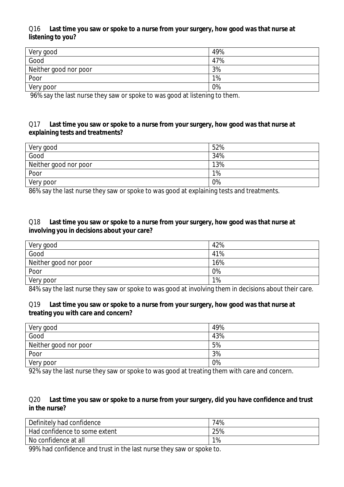#### Q16 **Last time you saw or spoke to a nurse from your surgery, how good was that nurse at listening to you?**

| Very good             | 49% |
|-----------------------|-----|
| Good                  | 47% |
| Neither good nor poor | 3%  |
| Poor                  | 1%  |
| Very poor             | 0%  |
| $   -$<br>.           |     |

96% say the last nurse they saw or spoke to was good at listening to them.

#### Q17 **Last time you saw or spoke to a nurse from your surgery, how good was that nurse at explaining tests and treatments?**

| Very good             | 52% |
|-----------------------|-----|
| Good                  | 34% |
| Neither good nor poor | 13% |
| Poor                  | 1%  |
| Very poor             | 0%  |

86% say the last nurse they saw or spoke to was good at explaining tests and treatments.

#### Q18 **Last time you saw or spoke to a nurse from your surgery, how good was that nurse at involving you in decisions about your care?**

| Very good             | 42% |
|-----------------------|-----|
| Good                  | 41% |
| Neither good nor poor | 16% |
| Poor                  | 0%  |
| Very poor             | 1%  |

84% say the last nurse they saw or spoke to was good at involving them in decisions about their care.

#### Q19 **Last time you saw or spoke to a nurse from your surgery, how good was that nurse at treating you with care and concern?**

| Very good                                                                                                                                                                                                                                                                                   | 49%         |
|---------------------------------------------------------------------------------------------------------------------------------------------------------------------------------------------------------------------------------------------------------------------------------------------|-------------|
| Good                                                                                                                                                                                                                                                                                        | 43%         |
| Neither good nor poor                                                                                                                                                                                                                                                                       | 5%          |
| Poor                                                                                                                                                                                                                                                                                        | 3%          |
| Very poor                                                                                                                                                                                                                                                                                   | 0%          |
| _ _ _ _ _<br>the company's company's company's company's<br>$\sim$ . The set of the set of the set of the set of the set of the set of the set of the set of the set of the set of the set of the set of the set of the set of the set of the set of the set of the set of the set of the s | .<br>$\sim$ |

92% say the last nurse they saw or spoke to was good at treating them with care and concern.

#### Q20 **Last time you saw or spoke to a nurse from your surgery, did you have confidence and trust in the nurse?**

| Definitely had confidence     | 74% |
|-------------------------------|-----|
| Had confidence to some extent | 25% |
| No confidence at all          | 1%  |

99% had confidence and trust in the last nurse they saw or spoke to.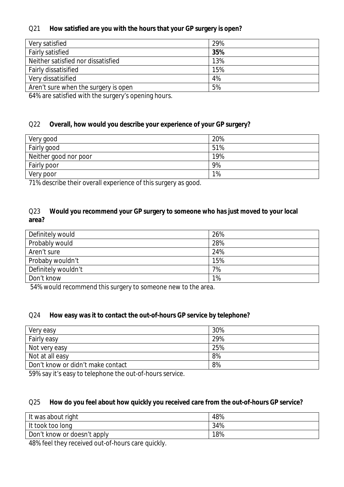## Q21 **How satisfied are you with the hours that your GP surgery is open?**

| Very satisfied                       | 29% |
|--------------------------------------|-----|
| <b>Fairly satisfied</b>              | 35% |
| Neither satisfied nor dissatisfied   | 13% |
| Fairly dissatisified                 | 15% |
| Very dissatisified                   | 4%  |
| Aren't sure when the surgery is open | 5%  |

64% are satisfied with the surgery's opening hours.

## Q22 **Overall, how would you describe your experience of your GP surgery?**

| Very good             | 20% |
|-----------------------|-----|
| Fairly good           | 51% |
| Neither good nor poor | 19% |
| Fairly poor           | 9%  |
| Very poor             | 1%  |

71% describe their overall experience of this surgery as good.

#### Q23 **Would you recommend your GP surgery to someone who has just moved to your local area?**

| Definitely would    | 26% |
|---------------------|-----|
| Probably would      | 28% |
| Aren't sure         | 24% |
| Probaby wouldn't    | 15% |
| Definitely wouldn't | 7%  |
| Don't know          | 1%  |

54% would recommend this surgery to someone new to the area.

#### Q24 **How easy was it to contact the out-of-hours GP service by telephone?**

| Very easy                         | 30% |
|-----------------------------------|-----|
| Fairly easy                       | 29% |
| Not very easy                     | 25% |
| Not at all easy                   | 8%  |
| Don't know or didn't make contact | 8%  |

59% say it's easy to telephone the out-of-hours service.

#### Q25 **How do you feel about how quickly you received care from the out-of-hours GP service?**

| It was about right          | 48% |
|-----------------------------|-----|
| It took too long            | 34% |
| Don't know or doesn't apply | 18% |

48% feel they received out-of-hours care quickly.